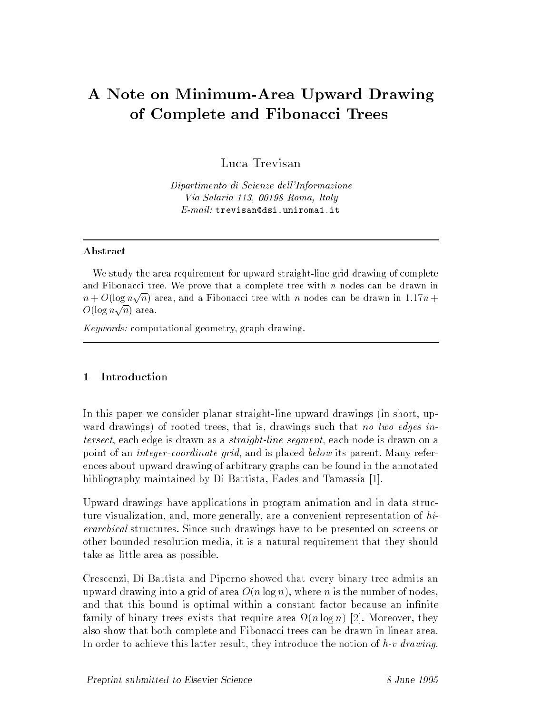# A Note on Minimum-Area Upward Drawing of Complete and Fibonacci Trees

Luca Trevisan

Dipartimento di Scienze dell'Informazione Via Salaria 113, 00198 Roma, Italy  $E-mail:$  trevisan@dsi.uniroma1.it

# Abstract

We study the area requirement for upward straight-line grid drawing of complete and Fibonacci tree. We prove that a complete tree with  $n$  nodes can be drawn in  $n + O(\log n\sqrt{n})$  area, and a Fibonacci tree with n nodes can be drawn in 1.17 $n +$  $O(\log n\sqrt{n})$  area.

Keywords: computational geometry, graph drawing.

# $\mathbf{1}$

In this paper we consider planar straight-line upward drawings (in short, upward drawings) of rooted trees, that is, drawings such that no two edges intersect, each edge is drawn as a straight-line segment, each node is drawn on a point of an *integer-coordinate grid*, and is placed *below* its parent. Many references about upward drawing of arbitrary graphs can be found in the annotated bibliography maintained by Di Battista, Eades and Tamassia [1].

Upward drawings have applications in program animation and in data structure visualization, and, more generally, are a convenient representation of hierarchical structures. Since such drawings have to be presented on screens or other bounded resolution media, it is a natural requirement that they should take as little area as possible.

Crescenzi, Di Battista and Piperno showed that every binary tree admits an upward drawing into a grid of area  $O(n \log n)$ , where n is the number of nodes, and that this bound is optimal within a constant factor because an infinite family of binary trees exists that require area (n log n) [2]. Moreover, they also show that both complete and Fibonacci trees can be drawn in linear area. In order to achieve this latter result, they introduce the notion of  $h$ -v drawing.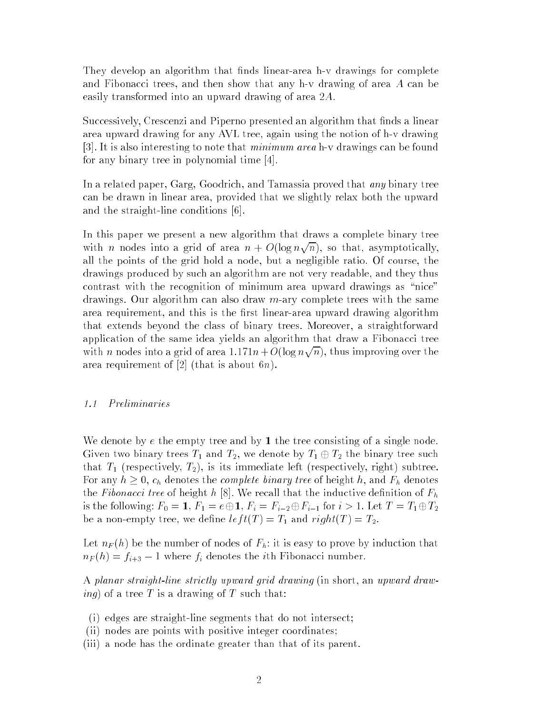They develop an algorithm that finds linear-area h-v drawings for complete and Fibonacci trees, and then show that any h-v drawing of area A can be easily transformed into an upward drawing of area 2A.

Successively, Crescenzi and Piperno presented an algorithm that finds a linear area upward drawing for any AVL tree, again using the notion of h-v drawing [3]. It is also interesting to note that minimum area h-v drawings can be found for any binary tree in polynomial time [4].

In a related paper, Garg, Goodrich, and Tamassia proved that any binary tree can be drawn in linear area, provided that we slightly relax both the upward and the straight-line conditions [6].

In this paper we present a new algorithm that draws a complete binary tree with  $\mathbf{r}$  and  $\mathbf{r}$  are a grid of area nodes in  $\mathbf{r}$  ,  $\mathbf{r}$  ,  $\mathbf{r}$ <u>provided and the contract of the contract of the contract of the contract of the contract of the contract of the contract of the contract of the contract of the contract of the contract of the contract of the contract of </u> n), so that, asymptotically, all the points of the grid hold a node, but a negligible ratio. Of course, the drawings produced by such an algorithm are not very readable, and they thus contrast with the recognition of minimum area upward drawings as "nice" drawings. Our algorithm can also draw  $m$ -ary complete trees with the same area requirement, and this is the first linear-area upward drawing algorithm that extends beyond the class of binary trees. Moreover, a straightforward application of the same idea yields an algorithm that draw a Fibonacci tree with  $\alpha$  is a grid of all  $\alpha$  into a set of a set  $\alpha$  is a set of  $\alpha$ <u>provide a se</u> n), thus improving over the area requirement of  $[2]$  (that is about 6*n*).

# 1.1 Preliminaries

We denote by  $e$  the empty tree and by 1 the tree consisting of a single node. Given two binary trees  $T_1$  and  $T_2$ , we denote by  $T_1 \oplus T_2$  the binary tree such that  $T_1$  (respectively,  $T_2$ ), is its immediate left (respectively, right) subtree. For any  $h \geq 0$ ,  $c_h$  denotes the *complete binary tree* of height h, and  $F_h$  denotes the Fibonacci tree of height h [8]. We recall that the inductive definition of  $F_h$ is the following:  $F_0 = 1$ ,  $F_1 = e \oplus 1$ ,  $F_i = F_{i-2} \oplus F_{i-1}$  for  $i > 1$ . Let  $T = T_1 \oplus T_2$ be a non-empty tree, we define  $left(T\right) = T_1$  and  $right(T) = T_2$ .

Let  $n_F(h)$  be the number of nodes of  $F_h$ : it is easy to prove by induction that  $n_F (h) = f_{i+3} - 1$  where  $f_i$  denotes the *i*th Fibonacci number.

A planar straight-line strictly upward grid drawing (in short, an upward drawing) of a tree T is a drawing of T such that:

- (i) edges are straight-line segments that do not intersect;
- (ii) nodes are points with positive integer coordinates;
- (iii) a node has the ordinate greater than that of its parent.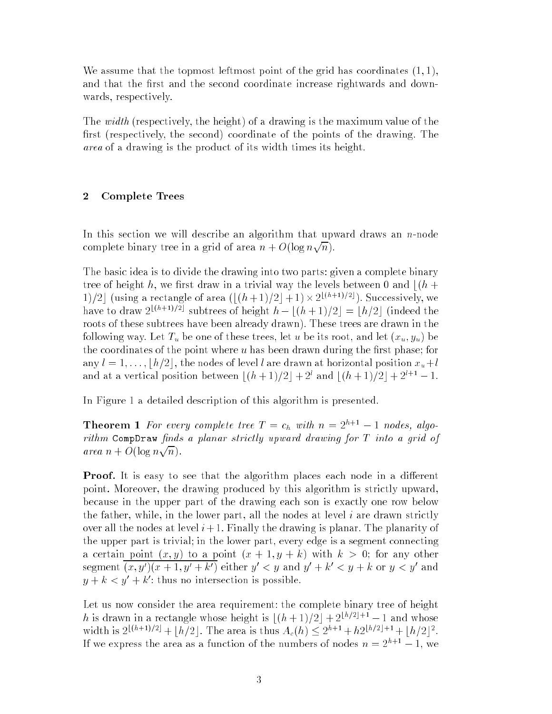We assume that the topmost leftmost point of the grid has coordinates  $(1, 1)$ , and that the first and the second coordinate increase rightwards and downwards, respectively.

The *width* (respectively, the height) of a drawing is the maximum value of the first (respectively, the second) coordinate of the points of the drawing. The area of a drawing is the product of its width times its height.

# <sup>2</sup> Complete Trees

In this section we will describe an algorithm that upward draws an  $n$ -node complete binary tree in a grid of area n  $\mathcal{C}(\mathcal{A})$ <u>participate the state of the state of the state of the state of the state of the state of the state of the state of the state of the state of the state of the state of the state of the state of the state of the state of t</u> n).

The basic idea is to divide the drawing into two parts: given a complete binary tree of height h, we first draw in a trivial way the levels between 0 and  $\left| (h +$ 1)/2 | (using a rectangle of area ( $\lfloor (h+1)/2 \rfloor + 1 \rfloor \times 2^{(k+1-1)/2}$ ). Successively, we have to draw  $2^{(n+1)/2}$  subtrees of height  $h = \lfloor (n+1)/2 \rfloor = \lfloor n/2 \rfloor$  (indeed the roots of these subtrees have been already drawn). These trees are drawn in the following way. Let  $T_u$  be one of these trees, let u be its root, and let  $(x_u, y_u)$  be the coordinates of the point where  $u$  has been drawn during the first phase; for any  $l = 1, \ldots, |h/2|$ , the nodes of level l are drawn at horizontal position  $x<sub>u</sub>+l$ and at a vertical position between  $((h + 1)/2) + 2$  and  $((h + 1)/2) + 2$   $\cdot$   $\cdot$   $= 1$ .

In Figure 1 a detailed description of this algorithm is presented.

**Theorem 1** For every complete tree  $T = c_h$  with  $n = 2^{h+1} - 1$  nodes, algo $rithm$  CompDraw finds a planar strictly upward drawing for  $T$  into a grid of area n + O(log n <u>provide a contract de la con</u> n).

**Proof.** It is easy to see that the algorithm places each node in a different point. Moreover, the drawing produced by this algorithm is strictly upward, because in the upper part of the drawing each son is exactly one row below the father, while, in the lower part, all the nodes at level  $i$  are drawn strictly over all the nodes at level  $i+1$ . Finally the drawing is planar. The planarity of the upper part is trivial; in the lower part, every edge is a segment connecting a certain point  $(x, y)$  to a point  $(x + 1, y + k)$  with  $k > 0$ ; for any other segment  $(x, y)$   $(x + 1, y + \kappa)$  either  $y \leq y$  and  $y + \kappa \leq y + \kappa$  or  $y \leq y$  and  $y + \kappa < y + \kappa$  : thus no intersection is possible.

Let us now consider the area requirement: the complete binary tree of height h is drawn in a rectangle whose height is  $\lfloor (h + 1)/2 \rfloor + 2^{\lfloor h/2 \rfloor + 1} - 1$  and whose width is  $2^{(n+1)/2} + |n/2|$ . The area is thus  $A_c(n) \leq 2^{n+1} + n2^{n+1} + |n/2|$ . If we express the area as a function of the numbers of nodes  $n = 2^{h+1} - 1$ , we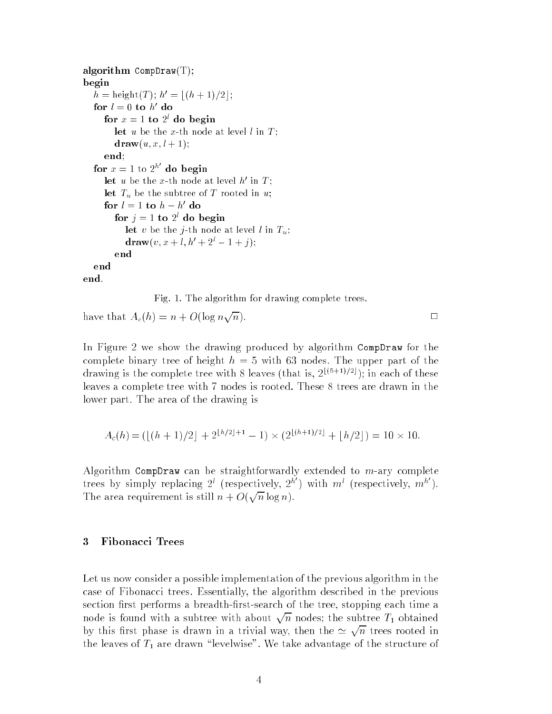```
algorithm CompDraw(T);
begin
  h = \text{height}(T); h' = \lfloor (h + 1)/2 \rfloor;for \iota = 0 to n ao
     for x = 1 to 2 do begin
       let u be the x-th node at level l in T;
       \mathbf{draw}(u, x, l+1);end;
  for x=1 to 2^n do begin
     iet u be the x-th node at level n in T;
     let T_u be the subtree of T rooted in u;
     for i = 1 to n - n ao
        for \gamma = 1 to 2 do begin
          let v be the j-th node at level l in T_u;
          \mathbf{draw}(v, x + l, h' + 2^l - 1 + j);end
  end
end.
```
Fig. 1. The algorithm for drawing complete trees.

have that Ac(h) = n + O(log n product the control of n). <sup>2</sup>

In Figure 2 we show the drawing produced by algorithm CompDraw for the complete binary tree of height  $h = 5$  with 63 nodes. The upper part of the drawing is the complete tree with  $\delta$  leaves (that is, 200  $^{10}$  200  $^{11}$ ); in each of these leaves a complete tree with 7 nodes is rooted. These 8 trees are drawn in the lower part. The area of the drawing is

$$
A_c(h) = (\lfloor (h+1)/2 \rfloor + 2^{\lfloor h/2 \rfloor + 1} - 1) \times (2^{\lfloor (h+1)/2 \rfloor} + \lfloor h/2 \rfloor) = 10 \times 10.
$$

Algorithm CompDraw can be straightforwardly extended to  $m$ -ary complete trees by simply replacing 2<sup>'</sup> (respectively,  $2<sup>n</sup>$ ) with  $m<sup>i</sup>$  (respectively,  $m<sup>n</sup>$ ). The area requirement is still not are as a requirement is still not as a still normal  $\mathcal{A}$ produced a series n log n).

#### <sup>3</sup> Fibonacci Trees

Let us now consider a possible implementation of the previous algorithm in the case of Fibonacci trees. Essentially, the algorithm described in the previous section first performs a breadth-first-search of the tree, stopping each time a node is found with a subtree with about  $\sqrt{n}$  nodes; the subtree  $T_1$  obtained by this first phase is drawn in a trivial way, then the  $\simeq \sqrt{}$ the leaves of  $T_1$  are drawn "levelwise". We take advantage of the structure of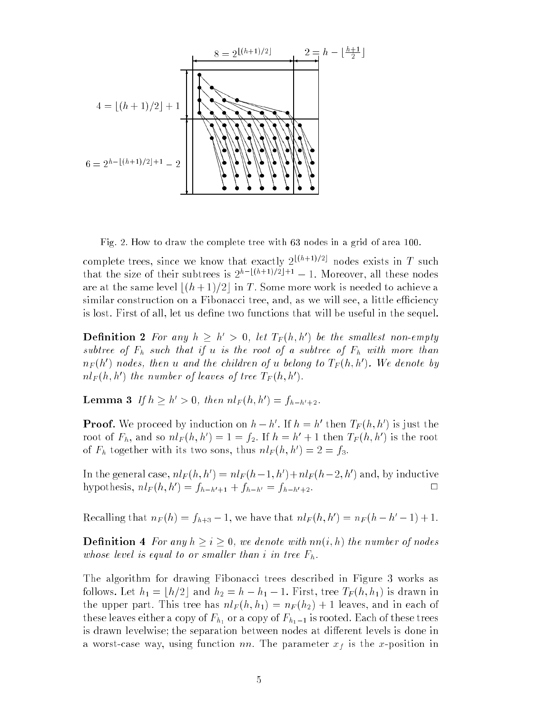

Fig. 2. How to draw the complete tree with 63 nodes in a grid of area 100.

complete trees, since we know that exactly  $2^{(n+1)/2}$  nodes exists in T such that the size of their subtrees is  $2^{n}$  (i.e.  $2^{n+1}$ ) = 1. Moreover, all these nodes are at the same level  $\lfloor (h + 1)/2 \rfloor$  in T. Some more work is needed to achieve a similar construction on a Fibonacci tree, and, as we will see, a little efficiency is lost. First of all, let us dene two functions that will be useful in the sequel.

**Definition 2** for any  $n \geq n > 0$ , let  $I_F(n,n)$  be the smallest non-empty subtree of  $F_h$  such that if u is the root of a subtree of  $F_h$  with more than  $n_{F}(n$  ) nodes, then  $u$  and the children of  $u$  belong to  $1_{F}$ (h,h). We denote by  $n \in [n, n]$  , the number of leaves of tree  $1_F(n, n)$ .

**Lemma 3** If  $n \geq n > 0$ , then  $n l_F(n,n) = J_{h-h'+2}$ .

**Proof.** We proceed by induction on  $n - n$  . If  $n = n$  then  $I_F(n, n)$  is just the root of  $\Gamma_h$ , and so  $n\ell_F(n,n) = 1 = f_2$ . If  $n = n+1$  then  $\Gamma_F(n,n)$  is the root of  $F_h$  together with its two sons, thus  $n l_F(n, h) = 2 = I_3$ .

In the general case,  $n l_F(n, n) = n l_F(n-1, n) + n l_F(n-2, n)$  and, by inductive  $\Box$  $h$  hypothesis,  $n l_F(n, h) = l_{h-h'+1} + l_{h-h'} = l_{h-h'+2}.$ 

Recalling that  $n_F(n) = f_{h+3} - 1$ , we have that  $n_F(n,n) = n_F(n-n-1)+1$ .

**Definition 4** For any  $h \geq i \geq 0$ , we denote with  $nn(i, h)$  the number of nodes whose level is equal to or smaller than i in tree  $F_h$ .

The algorithm for drawing Fibonacci trees described in Figure 3 works as follows. Let  $h_1 = \lfloor h/2 \rfloor$  and  $h_2 = h - h_1 - 1$ . First, tree  $T_F(h, h_1)$  is drawn in the upper part. This tree has  $nl_F(h, h_1) = n_F(h_2) + 1$  leaves, and in each of these leaves either a copy of  $F_{h_1}$  or a copy of  $F_{h_1-1}$  is rooted. Each of these trees is drawn levelwise; the separation between nodes at different levels is done in a worst-case way, using function  $nn$ . The parameter  $x<sub>f</sub>$  is the x-position in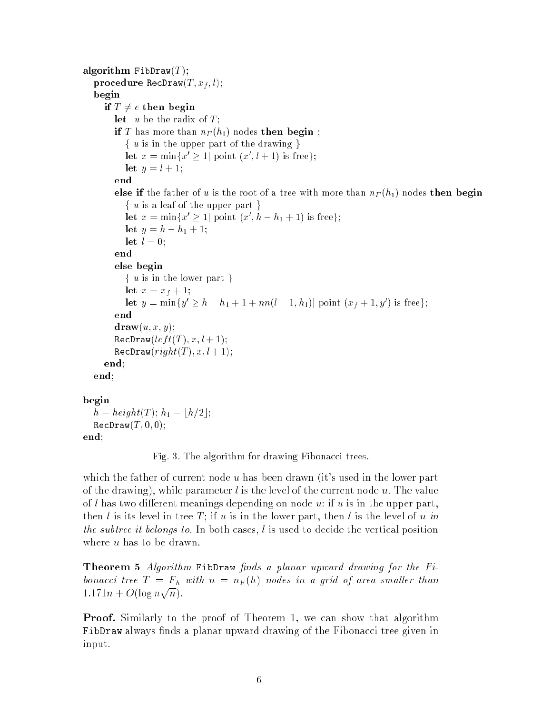```
algorithm FibDraw(T);
  \mathbf{proced} ure RecDraw(T, x_f, l);begin
     if T\neq e then begin
        let u be the radix of T;
        if T has more than n_F (h_1) nodes then begin;
           \{u \text{ is in the upper part of the drawing }\}let x = \min\{x > 1 | \text{ point } (x, t+1) \text{ is tree}\}\let y = l + 1;
        end
        else if the father of u is the root of a tree with more than n_F (h_1) nodes then begin
           \{u \text{ is a leaf of the upper part }\}let x = \min\{x \geq 1 | \text{ point } (x_1, n - n_1 + 1) \text{ is tree}\}\;let y = h - h_1 + 1;
           let l = 0;
        end
        else begin
           \{u \text{ is in the lower part }\}let x = x_f + 1;let y = \min\{y \geq n - n_1 + 1 + nn(i - 1, n_1)\}\ point (x_f + 1, y) is free \};
        end

        \texttt{RecDraw}(left(T), x, l+1);\texttt{RecDraw}(right(T), x, l+1);end;
  end;
begin
```

```
h = height(T); h_1 = |h/2|;RecDraw(T, 0, 0);end;
```
Fig. 3. The algorithm for drawing Fibonacci trees.

which the father of current node u has been drawn (it's used in the lower part of the drawing), while parameter  $l$  is the level of the current node  $u$ . The value of l has two different meanings depending on node u: if u is in the upper part, then l is its level in tree T; if u is in the lower part, then l is the level of u in the subtree it belongs to. In both cases,  $l$  is used to decide the vertical position where  $u$  has to be drawn.

**Theorem 5** Algorithm FibDraw finds a planar upward drawing for the Fibonacci tree  $T = F_h$  with  $n = n_F(h)$  nodes in a grid of area smaller than 1:17<sub>1</sub> - O(1717) <u>provide a contract de la con</u> n).

**Proof.** Similarly to the proof of Theorem 1, we can show that algorithm FibDraw always finds a planar upward drawing of the Fibonacci tree given in input.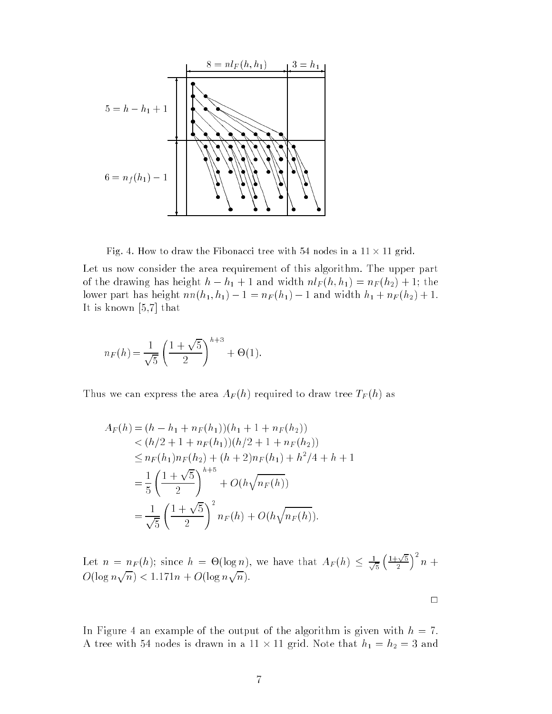

Fig. 4. How to draw the Fibonacci tree with  $\mathcal{A}$  nodes in a 11  $-$ 

Let us now consider the area requirement of this algorithm. The upper part of the drawing has height  $h - h_1 + 1$  and width  $nl_F (h, h_1) = n_F (h_2) + 1$ ; the lower part has height  $nn(h_1, h_1) - 1 = n_F(h_1) - 1$  and width  $h_1 + n_F(h_2) + 1$ . It is known [5,7] that

$$
n_F(h) = \frac{1}{\sqrt{5}} \left( \frac{1 + \sqrt{5}}{2} \right)^{h+3} + \Theta(1).
$$

Thus we can express the area  $A_F(h)$  required to draw tree  $T_F(h)$  as

$$
A_F(h) = (h - h_1 + n_F(h_1))(h_1 + 1 + n_F(h_2))
$$
  

$$
< (h/2 + 1 + n_F(h_1))(h/2 + 1 + n_F(h_2))
$$
  

$$
\le n_F(h_1)n_F(h_2) + (h + 2)n_F(h_1) + h^2/4 + h + 1
$$
  

$$
= \frac{1}{5}\left(\frac{1 + \sqrt{5}}{2}\right)^{h+5} + O(h\sqrt{n_F(h)})
$$
  

$$
= \frac{1}{\sqrt{5}}\left(\frac{1 + \sqrt{5}}{2}\right)^2 n_F(h) + O(h\sqrt{n_F(h)}).
$$

Let  $n = n_F(n)$ ; since  $n = \Theta(\log n)$ , we have that  $A_F(n) \leq \frac{1}{\sqrt{n}}$  $(1+\sqrt{5})$ \ 4 n + O(log n <sup>p</sup> n) and 1-171 in 1-171 in 1-171 in 1-171 in 1-171 in 1-171 in 1-171 in 1-171 in 1-171 in 1-171 in 1-171 in 1-17 produced a series n).

In Figure 4 an example of the output of the algorithm is given with  $h = 7$ .  $\mathbf{11}$  and  $\mathbf{12}$  is drawn in a  $\mathbf{11}$  and  $\mathbf{12}$  is  $\mathbf{13}$  . The state that  $\mathbf{13}$  is  $\mathbf{14}$ 

 $\Box$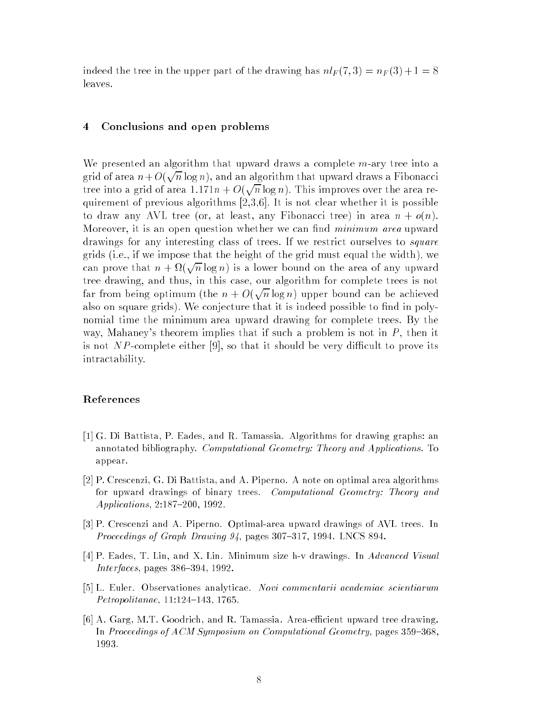indeed the tree in the upper part of the drawing has  $nl_F(7,3) = n_F(3) + 1 = 8$ leaves.

# <sup>4</sup> Conclusions and open problems

We presented an algorithm that upward draws a complete *m*-ary tree into a  $\mathcal{A}$  -  $\mathcal{A}$  are not are as a non-order of  $\mathcal{A}$ <u>provided and the contract of the contract of the contract of the contract of the contract of the contract of the contract of the contract of the contract of the contract of the contract of the contract of the contract of </u> n log n), and an ang albumard draws a fibonacci at the state of tree into a grid of area 1:171n  $\sim$  O(1711n  $\sim$  0.171n  $\sim$  0.171n  $\sim$  0.171n  $\sim$  0.171n  $\sim$  0.171n  $\sim$  0.171n  $\sim$  0.171n  $\sim$  0.171n  $\sim$  0.171n  $\sim$  0.171n  $\sim$  0.171n  $\sim$  0.171n  $\sim$  0.171n  $\sim$  0.171n  $\sim$  0.1 produced a series n log n). This improves over the area requirement of previous algorithms  $[2,3,6]$ . It is not clear whether it is possible to draw any AVL tree (or, at least, any Fibonacci tree) in area  $n + o(n)$ . Moreover, it is an open question whether we can find *minimum area* upward drawings for any interesting class of trees. If we restrict ourselves to square grids (i.e., if we impose that the height of the grid must equal the width), we can prove that  $n + \Omega(\sqrt{n} \log n)$  is a lower bound on the area of any upward tree drawing, and thus, in this case, our algorithm for complete trees is not far from being optimum (the n + O( <u>provided and the second provided and the second provided and provided and provided and provided and provided and provided and provided and provided and provided and provided and provided and provided and provided and prov</u> n log n) upper bound can be achieved the achieved also on square grids). We conjecture that it is indeed possible to find in polynomial time the minimum area upward drawing for complete trees. By the way, Mahaney's theorem implies that if such a problem is not in  $P$ , then it is not NP-complete either [9], so that it should be very difficult to prove its intractability.

# References

- [1] G. Di Battista, P. Eades, and R. Tamassia. Algorithms for drawing graphs: an annotated bibliography. Computational Geometry: Theory and Applications. To appear.
- [2] P. Crescenzi, G. Di Battista, and A. Piperno. A note on optimal area algorithms for upward drawings of binary trees. Computational Geometry: Theory and Applications, 2:187-200, 1992.
- [3] P. Crescenzi and A. Piperno. Optimal-area upward drawings of AVL trees. In Proceedings of Graph Drawing  $94$ , pages  $307-317$ , 1994. LNCS 894.
- [4] P. Eades, T. Lin, and X. Lin. Minimum size h-v drawings. In Advanced Visual  $Interfaces, pages 386-394, 1992.$
- [5] L. Euler. Observationes analyticae. Novi commentarii academiae scientiarum Petropolitanae, 11:124-143, 1765.
- [6] A. Garg, M.T. Goodrich, and R. Tamassia. Area-efficient upward tree drawing. In Proceedings of  $ACM$  Symposium on Computational Geometry, pages 359–368, 1993.